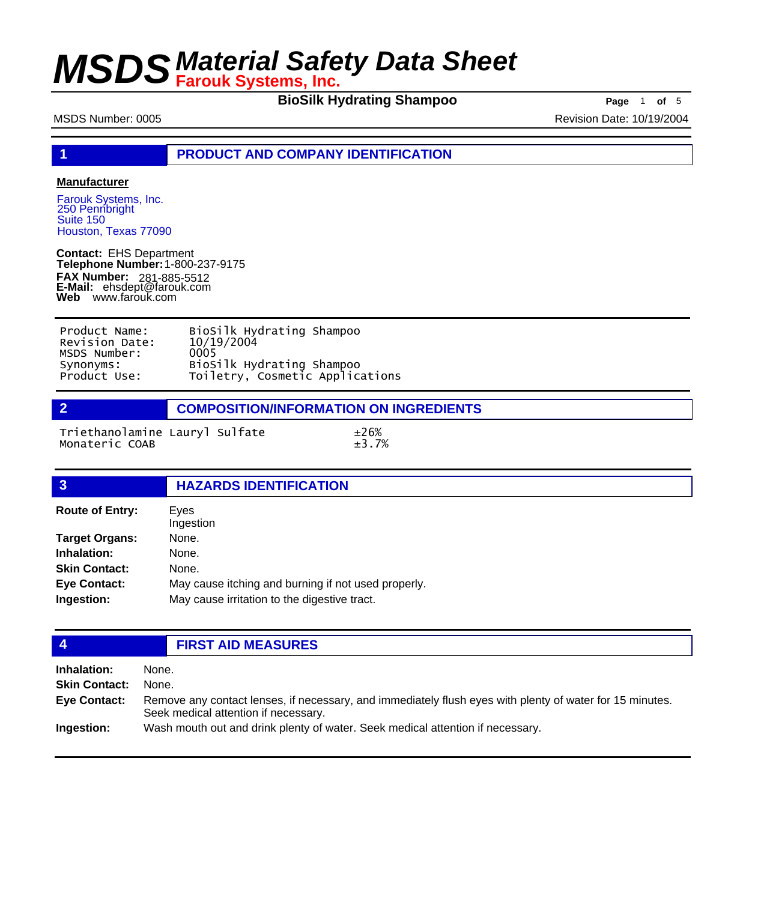**BioSilk Hydrating Shampoo Page** 1 of 5

MSDS Number: 0005 Revision Date: 10/19/2004

**1 PRODUCT AND COMPANY IDENTIFICATION**

### **Manufacturer**

Farouk Systems, Inc. 250 Pennbright Suite 150 Houston, Texas 77090

**Contact:** EHS Department **Telephone Number:** 1-800-237-9175 **FAX Number: FAX Number:** 281-885-5512<br>**E-Mail:** ehsdept@farouk.com **Web** www.farouk.com

| Product Name:  | BioSilk Hydrating Shampoo       |
|----------------|---------------------------------|
| Revision Date: | 10/19/2004                      |
| MSDS Number:   | 0005                            |
| Synonyms:      | BioSilk Hydrating Shampoo       |
| Product Use:   | Toiletry, Cosmetic Applications |

**2 COMPOSITION/INFORMATION ON INGREDIENTS**

Triethanolamine Lauryl Sulfate ±26% Monateric COAB

| $\overline{3}$         | <b>HAZARDS IDENTIFICATION</b>                       |
|------------------------|-----------------------------------------------------|
| <b>Route of Entry:</b> | Eyes<br>Ingestion                                   |
| <b>Target Organs:</b>  | None.                                               |
| Inhalation:            | None.                                               |
| <b>Skin Contact:</b>   | None.                                               |
| <b>Eye Contact:</b>    | May cause itching and burning if not used properly. |
| Ingestion:             | May cause irritation to the digestive tract.        |
|                        |                                                     |

## **4 FIRST AID MEASURES**

| Inhalation:          | None.                                                                                                                                            |
|----------------------|--------------------------------------------------------------------------------------------------------------------------------------------------|
| <b>Skin Contact:</b> | None.                                                                                                                                            |
| <b>Eve Contact:</b>  | Remove any contact lenses, if necessary, and immediately flush eyes with plenty of water for 15 minutes.<br>Seek medical attention if necessary. |
| Ingestion:           | Wash mouth out and drink plenty of water. Seek medical attention if necessary.                                                                   |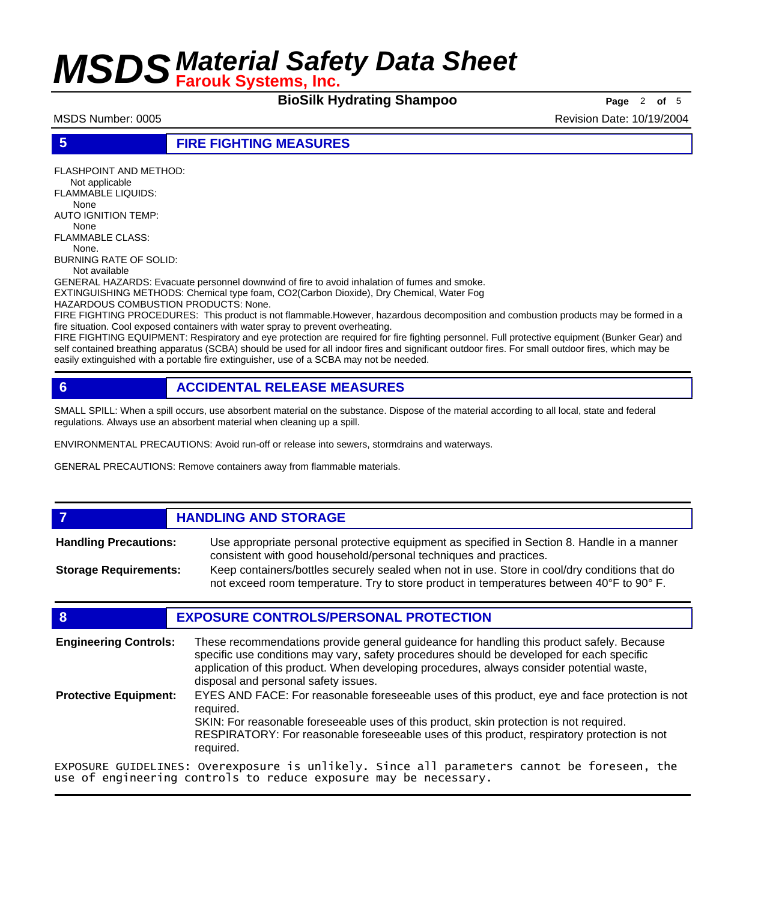**BioSilk Hydrating Shampoo Page** 2 of 5

MSDS Number: 0005 Revision Date: 10/19/2004

**5 FIRE FIGHTING MEASURES**

FLASHPOINT AND METHOD:

 Not applicable FLAMMABLE LIQUIDS:

None

AUTO IGNITION TEMP: None

FLAMMABLE CLASS: None.

BURNING RATE OF SOLID:

Not available

GENERAL HAZARDS: Evacuate personnel downwind of fire to avoid inhalation of fumes and smoke.

EXTINGUISHING METHODS: Chemical type foam, CO2(Carbon Dioxide), Dry Chemical, Water Fog

HAZARDOUS COMBUSTION PRODUCTS: None.

FIRE FIGHTING PROCEDURES: This product is not flammable.However, hazardous decomposition and combustion products may be formed in a fire situation. Cool exposed containers with water spray to prevent overheating.

FIRE FIGHTING EQUIPMENT: Respiratory and eye protection are required for fire fighting personnel. Full protective equipment (Bunker Gear) and self contained breathing apparatus (SCBA) should be used for all indoor fires and significant outdoor fires. For small outdoor fires, which may be easily extinguished with a portable fire extinguisher, use of a SCBA may not be needed.

## **6 ACCIDENTAL RELEASE MEASURES**

SMALL SPILL: When a spill occurs, use absorbent material on the substance. Dispose of the material according to all local, state and federal regulations. Always use an absorbent material when cleaning up a spill.

ENVIRONMENTAL PRECAUTIONS: Avoid run-off or release into sewers, stormdrains and waterways.

GENERAL PRECAUTIONS: Remove containers away from flammable materials.

## *HANDLING AND STORAGE*

Use appropriate personal protective equipment as specified in Section 8. Handle in a manner consistent with good household/personal techniques and practices. **Handling Precautions:** Keep containers/bottles securely sealed when not in use. Store in cool/dry conditions that do **Storage Requirements:**

not exceed room temperature. Try to store product in temperatures between 40°F to 90° F.

## **8 EXPOSURE CONTROLS/PERSONAL PROTECTION**

These recommendations provide general guideance for handling this product safely. Because specific use conditions may vary, safety procedures should be developed for each specific application of this product. When developing procedures, always consider potential waste, disposal and personal safety issues. **Engineering Controls:** EYES AND FACE: For reasonable foreseeable uses of this product, eye and face protection is not required. SKIN: For reasonable foreseeable uses of this product, skin protection is not required. RESPIRATORY: For reasonable foreseeable uses of this product, respiratory protection is not required. **Protective Equipment:** EXPOSURE GUIDELINES: Overexposure is unlikely. Since all parameters cannot be foreseen, the

use of engineering controls to reduce exposure may be necessary.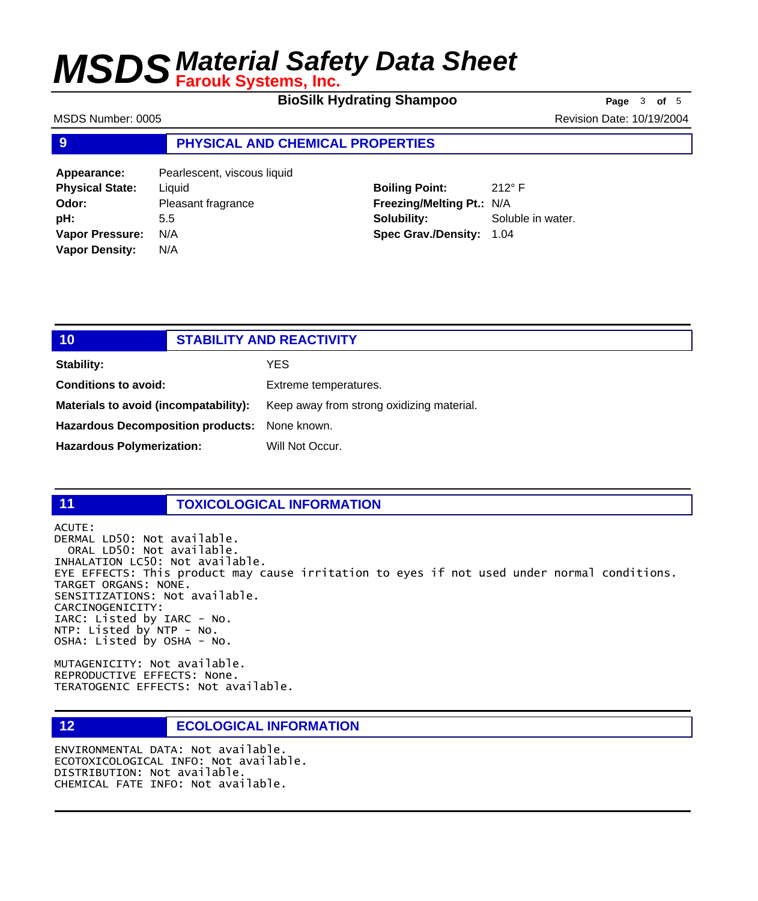**BioSilk Hydrating Shampoo Page** <sup>3</sup> **of** <sup>5</sup>

MSDS Number: 0005 **Revision Date: 10/19/2004** Revision Date: 10/19/2004

### **9 PHYSICAL AND CHEMICAL PROPERTIES**

| Appearance:            | Pearlescent, viscous liquid |
|------------------------|-----------------------------|
| <b>Physical State:</b> | Liquid                      |
| Odor:                  | Pleasant fragrance          |
| pH:                    | 5.5                         |
| <b>Vapor Pressure:</b> | N/A                         |
| <b>Vapor Density:</b>  | N/A                         |

**Boiling Point:** 212° F **Freezing/Melting Pt.:** N/A **Solubility:** Soluble in water. **Spec Grav./Density:** 1.04

| 10                                            | <b>STABILITY AND REACTIVITY</b> |                                           |
|-----------------------------------------------|---------------------------------|-------------------------------------------|
| Stability:                                    |                                 | YES                                       |
| <b>Conditions to avoid:</b>                   |                                 | Extreme temperatures.                     |
| Materials to avoid (incompatability):         |                                 | Keep away from strong oxidizing material. |
| Hazardous Decomposition products: None known. |                                 |                                           |
| <b>Hazardous Polymerization:</b>              |                                 | Will Not Occur.                           |

### **11 TOXICOLOGICAL INFORMATION**

ACUTE: DERMAL LD50: Not available. ORAL LD50: Not available. INHALATION LC50: Not available. EYE EFFECTS: This product may cause irritation to eyes if not used under normal conditions. TARGET ORGANS: NONE. SENSITIZATIONS: Not available. CARCINOGENICITY: IARC: Listed by IARC - No. NTP: Listed by NTP - No. OSHA: Listed by OSHA - No.

MUTAGENICITY: Not available. REPRODUCTIVE EFFECTS: None. TERATOGENIC EFFECTS: Not available.

## **12 ECOLOGICAL INFORMATION**

ENVIRONMENTAL DATA: Not available. ECOTOXICOLOGICAL INFO: Not available. DISTRIBUTION: Not available. CHEMICAL FATE INFO: Not available.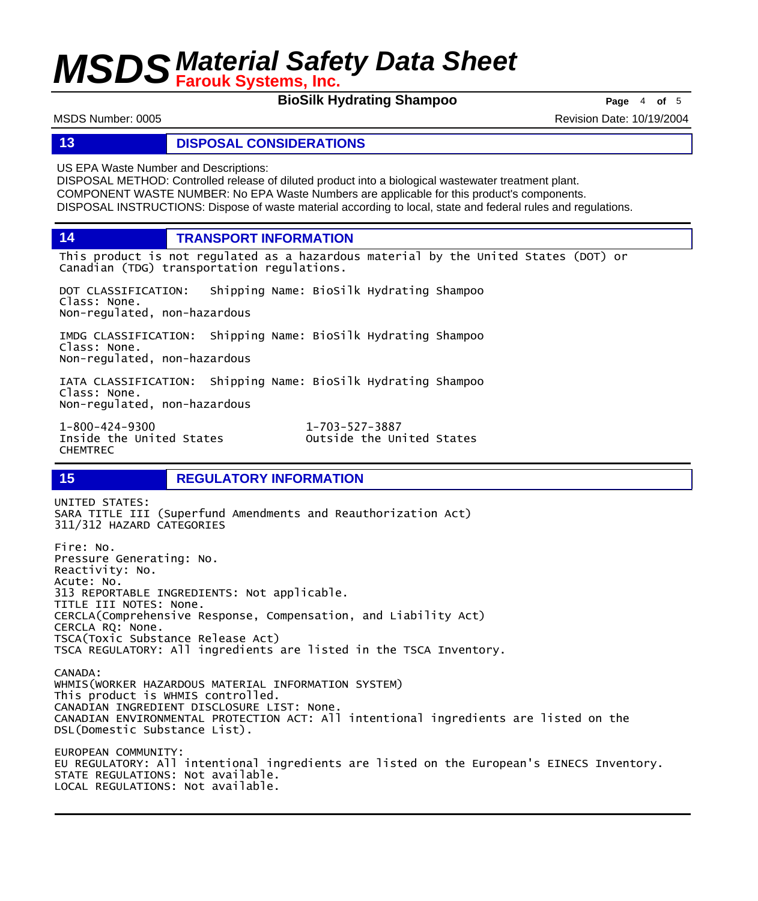**BioSilk Hydrating Shampoo Page** 4 of 5

MSDS Number: 0005 Revision Date: 10/19/2004

### **13 DISPOSAL CONSIDERATIONS**

US EPA Waste Number and Descriptions:

DISPOSAL METHOD: Controlled release of diluted product into a biological wastewater treatment plant. COMPONENT WASTE NUMBER: No EPA Waste Numbers are applicable for this product's components. DISPOSAL INSTRUCTIONS: Dispose of waste material according to local, state and federal rules and regulations.

**14 TRANSPORT INFORMATION**

This product is not regulated as a hazardous material by the United States (DOT) or Canadian (TDG) transportation regulations.

DOT CLASSIFICATION: Shipping Name: BioSilk Hydrating Shampoo Class: None. Non-regulated, non-hazardous

IMDG CLASSIFICATION: Shipping Name: BioSilk Hydrating Shampoo Class: None. Non-regulated, non-hazardous

IATA CLASSIFICATION: Shipping Name: BioSilk Hydrating Shampoo Class: None. Non-regulated, non-hazardous

1-800-424-9300 1-703-527-3887 CHEMTREC

Outside the United States

### **15 REGULATORY INFORMATION**

UNITED STATES: SARA TITLE III (Superfund Amendments and Reauthorization Act) 311/312 HAZARD CATEGORIES Fire: No. Pressure Generating: No. Reactivity: No. Acute: No. 313 REPORTABLE INGREDIENTS: Not applicable. TITLE III NOTES: None. CERCLA(Comprehensive Response, Compensation, and Liability Act) CERCLA RQ: None. TSCA(Toxic Substance Release Act) TSCA REGULATORY: All ingredients are listed in the TSCA Inventory. CANADA: WHMIS(WORKER HAZARDOUS MATERIAL INFORMATION SYSTEM) This product is WHMIS controlled. CANADIAN INGREDIENT DISCLOSURE LIST: None. CANADIAN ENVIRONMENTAL PROTECTION ACT: All intentional ingredients are listed on the DSL(Domestic Substance List). EUROPEAN COMMUNITY: EU REGULATORY: All intentional ingredients are listed on the European's EINECS Inventory. STATE REGULATIONS: Not available. LOCAL REGULATIONS: Not available.